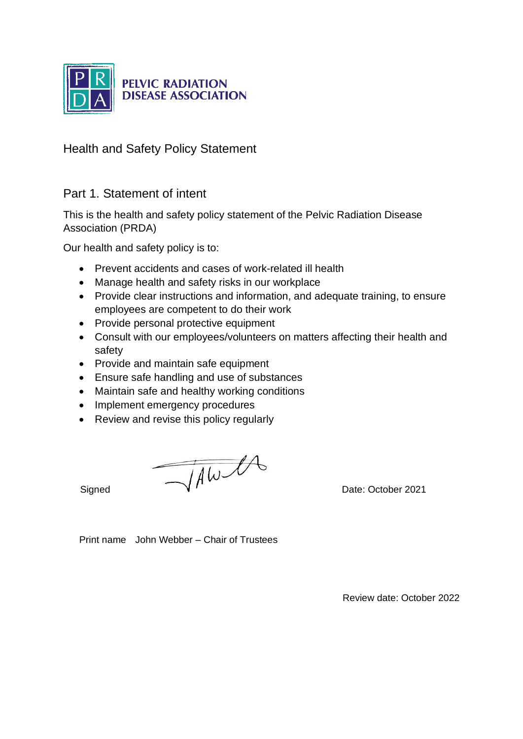

# **PELVIC RADIATION<br>DISEASE ASSOCIATION**

Health and Safety Policy Statement

## Part 1. Statement of intent

This is the health and safety policy statement of the Pelvic Radiation Disease Association (PRDA)

Our health and safety policy is to:

- Prevent accidents and cases of work-related ill health
- Manage health and safety risks in our workplace
- Provide clear instructions and information, and adequate training, to ensure employees are competent to do their work
- Provide personal protective equipment
- Consult with our employees/volunteers on matters affecting their health and safety
- Provide and maintain safe equipment
- Ensure safe handling and use of substances
- Maintain safe and healthy working conditions
- Implement emergency procedures
- Review and revise this policy regularly

 $Signed$  Date: October 2021

Print name John Webber – Chair of Trustees

Review date: October 2022